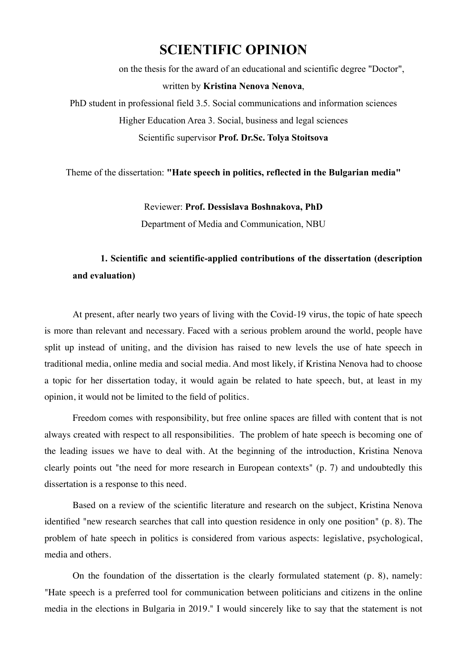# **SCIENTIFIC OPINION**

on the thesis for the award of an educational and scientific degree "Doctor", written by **Kristina Nenova Nenova**, PhD student in professional field 3.5. Social communications and information sciences Higher Education Area 3. Social, business and legal sciences Scientific supervisor **Prof. Dr.Sc. Tolya Stoitsova**

Theme of the dissertation: **"Hate speech in politics, reflected in the Bulgarian media"**

Reviewer: **Prof. Dessislava Boshnakova, PhD** Department of Media and Communication, NBU

### **1. Scientific and scientific-applied contributions of the dissertation (description and evaluation)**

At present, after nearly two years of living with the Covid-19 virus, the topic of hate speech is more than relevant and necessary. Faced with a serious problem around the world, people have split up instead of uniting, and the division has raised to new levels the use of hate speech in traditional media, online media and social media. And most likely, if Kristina Nenova had to choose a topic for her dissertation today, it would again be related to hate speech, but, at least in my opinion, it would not be limited to the field of politics.

Freedom comes with responsibility, but free online spaces are filled with content that is not always created with respect to all responsibilities. The problem of hate speech is becoming one of the leading issues we have to deal with. At the beginning of the introduction, Kristina Nenova clearly points out "the need for more research in European contexts" (p. 7) and undoubtedly this dissertation is a response to this need.

Based on a review of the scientific literature and research on the subject, Kristina Nenova identified "new research searches that call into question residence in only one position" (p. 8). The problem of hate speech in politics is considered from various aspects: legislative, psychological, media and others.

On the foundation of the dissertation is the clearly formulated statement (p. 8), namely: "Hate speech is a preferred tool for communication between politicians and citizens in the online media in the elections in Bulgaria in 2019." I would sincerely like to say that the statement is not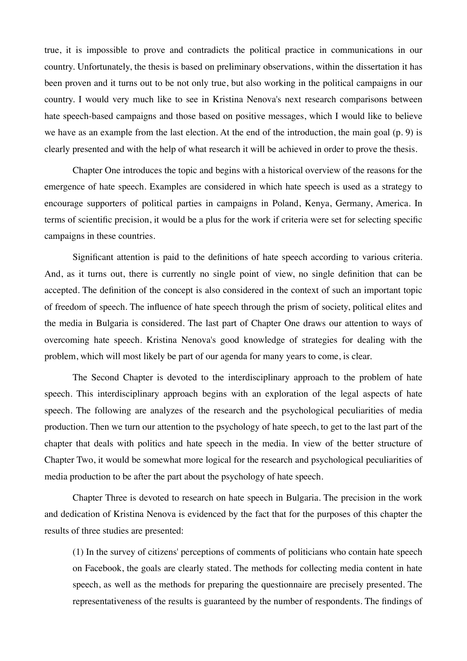true, it is impossible to prove and contradicts the political practice in communications in our country. Unfortunately, the thesis is based on preliminary observations, within the dissertation it has been proven and it turns out to be not only true, but also working in the political campaigns in our country. I would very much like to see in Kristina Nenova's next research comparisons between hate speech-based campaigns and those based on positive messages, which I would like to believe we have as an example from the last election. At the end of the introduction, the main goal (p. 9) is clearly presented and with the help of what research it will be achieved in order to prove the thesis.

Chapter One introduces the topic and begins with a historical overview of the reasons for the emergence of hate speech. Examples are considered in which hate speech is used as a strategy to encourage supporters of political parties in campaigns in Poland, Kenya, Germany, America. In terms of scientific precision, it would be a plus for the work if criteria were set for selecting specific campaigns in these countries.

Significant attention is paid to the definitions of hate speech according to various criteria. And, as it turns out, there is currently no single point of view, no single definition that can be accepted. The definition of the concept is also considered in the context of such an important topic of freedom of speech. The influence of hate speech through the prism of society, political elites and the media in Bulgaria is considered. The last part of Chapter One draws our attention to ways of overcoming hate speech. Kristina Nenova's good knowledge of strategies for dealing with the problem, which will most likely be part of our agenda for many years to come, is clear.

The Second Chapter is devoted to the interdisciplinary approach to the problem of hate speech. This interdisciplinary approach begins with an exploration of the legal aspects of hate speech. The following are analyzes of the research and the psychological peculiarities of media production. Then we turn our attention to the psychology of hate speech, to get to the last part of the chapter that deals with politics and hate speech in the media. In view of the better structure of Chapter Two, it would be somewhat more logical for the research and psychological peculiarities of media production to be after the part about the psychology of hate speech.

Chapter Three is devoted to research on hate speech in Bulgaria. The precision in the work and dedication of Kristina Nenova is evidenced by the fact that for the purposes of this chapter the results of three studies are presented:

(1) In the survey of citizens' perceptions of comments of politicians who contain hate speech on Facebook, the goals are clearly stated. The methods for collecting media content in hate speech, as well as the methods for preparing the questionnaire are precisely presented. The representativeness of the results is guaranteed by the number of respondents. The findings of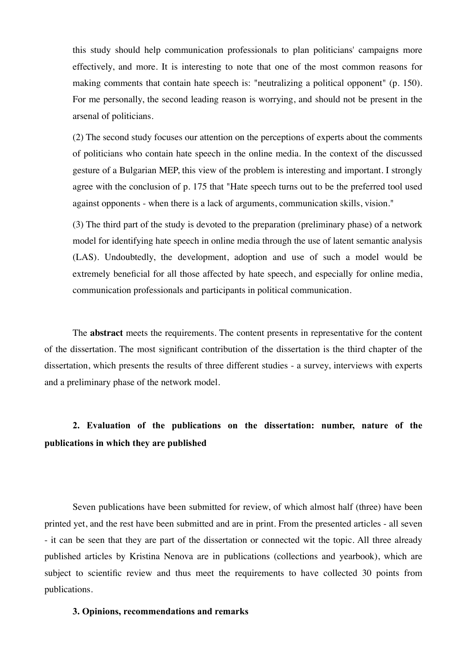this study should help communication professionals to plan politicians' campaigns more effectively, and more. It is interesting to note that one of the most common reasons for making comments that contain hate speech is: "neutralizing a political opponent" (p. 150). For me personally, the second leading reason is worrying, and should not be present in the arsenal of politicians.

(2) The second study focuses our attention on the perceptions of experts about the comments of politicians who contain hate speech in the online media. In the context of the discussed gesture of a Bulgarian MEP, this view of the problem is interesting and important. I strongly agree with the conclusion of p. 175 that "Hate speech turns out to be the preferred tool used against opponents - when there is a lack of arguments, communication skills, vision."

(3) The third part of the study is devoted to the preparation (preliminary phase) of a network model for identifying hate speech in online media through the use of latent semantic analysis (LAS). Undoubtedly, the development, adoption and use of such a model would be extremely beneficial for all those affected by hate speech, and especially for online media, communication professionals and participants in political communication.

The **abstract** meets the requirements. The content presents in representative for the content of the dissertation. The most significant contribution of the dissertation is the third chapter of the dissertation, which presents the results of three different studies - a survey, interviews with experts and a preliminary phase of the network model.

## **2. Evaluation of the publications on the dissertation: number, nature of the publications in which they are published**

Seven publications have been submitted for review, of which almost half (three) have been printed yet, and the rest have been submitted and are in print. From the presented articles - all seven - it can be seen that they are part of the dissertation or connected wit the topic. All three already published articles by Kristina Nenova are in publications (collections and yearbook), which are subject to scientific review and thus meet the requirements to have collected 30 points from publications.

#### **3. Opinions, recommendations and remarks**